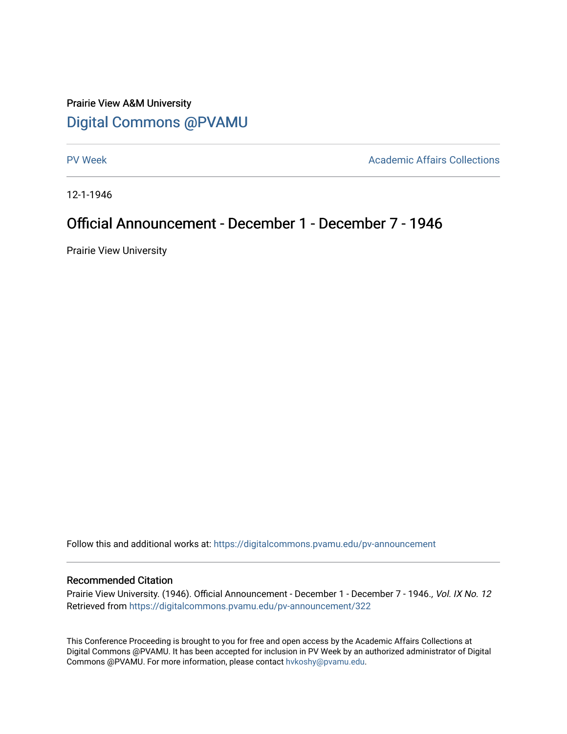# Prairie View A&M University [Digital Commons @PVAMU](https://digitalcommons.pvamu.edu/)

[PV Week](https://digitalcommons.pvamu.edu/pv-announcement) **Academic Affairs Collections** 

12-1-1946

## Official Announcement - December 1 - December 7 - 1946

Prairie View University

Follow this and additional works at: [https://digitalcommons.pvamu.edu/pv-announcement](https://digitalcommons.pvamu.edu/pv-announcement?utm_source=digitalcommons.pvamu.edu%2Fpv-announcement%2F322&utm_medium=PDF&utm_campaign=PDFCoverPages) 

## Recommended Citation

Prairie View University. (1946). Official Announcement - December 1 - December 7 - 1946., Vol. IX No. 12 Retrieved from [https://digitalcommons.pvamu.edu/pv-announcement/322](https://digitalcommons.pvamu.edu/pv-announcement/322?utm_source=digitalcommons.pvamu.edu%2Fpv-announcement%2F322&utm_medium=PDF&utm_campaign=PDFCoverPages) 

This Conference Proceeding is brought to you for free and open access by the Academic Affairs Collections at Digital Commons @PVAMU. It has been accepted for inclusion in PV Week by an authorized administrator of Digital Commons @PVAMU. For more information, please contact [hvkoshy@pvamu.edu.](mailto:hvkoshy@pvamu.edu)